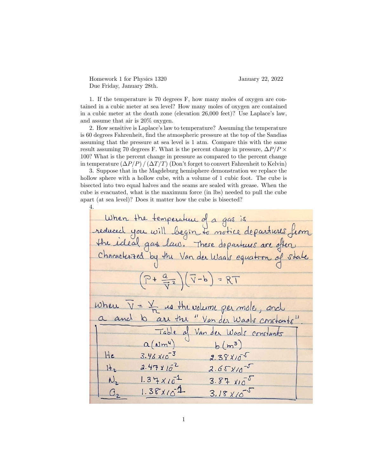Homework 1 for Physics 1320 January 22, 2022 Due Friday, January 28th.

4.

1. If the temperature is 70 degrees F, how many moles of oxygen are contained in a cubic meter at sea level? How many moles of oxygen are contained in a cubic meter at the death zone (elevation  $26,000$  feet)? Use Laplace's law, and assume that air is 20% oxygen.

2. How sensitive is Laplace's law to temperature? Assuming the temperature is 60 degrees Fahrenheit, find the atmospheric pressure at the top of the Sandias assuming that the pressure at sea level is 1 atm. Compare this with the same result assuming 70 degrees F. What is the percent change in pressure,  $\Delta P/P \times$ 100? What is the percent change in pressure as compared to the percent change in temperature  $(\Delta P/P) / (\Delta T/T)$  (Don't forget to convert Fahrenheit to Kelvin)

3. Suppose that in the Magdeburg hemisphere demonstration we replace the hollow sphere with a hollow cube, with a volume of 1 cubic foot. The cube is bisected into two equal halves and the seams are sealed with grease. When the cube is evacuated, what is the maximum force (in lbs) needed to pull the cube apart (at sea level)? Does it matter how the cube is bisected?

| When the temperature of a gas is                             |
|--------------------------------------------------------------|
|                                                              |
| reduced you will begin to notice departures from             |
| Characterized by the Van der Waals equation of state         |
|                                                              |
| $(P + \frac{a}{\sqrt{2}})(\sqrt{1-b}) = RT$                  |
|                                                              |
| where $V = \frac{V}{R}$ is the volume per mole, and          |
| a and b are the "Van der Waals constants"                    |
| Table of Van der Waals constants                             |
| $a(\omega m^4)$<br>$b(m^3)$                                  |
| He<br>$3.46 \times 10^{-3}$<br>$2.38110^{-5}$                |
| $2.47 \times 10^{-2}$<br>$H_2$<br>$2.65x10^{-5}$             |
| $1.34 \times 10^{-1}$<br>$N_{2}$<br>$3.87 \times 10^{-5}$    |
| $1.381/\sqrt{1}$<br>$3.18 \times 10^{-3}$<br>$\mathcal{O}_2$ |